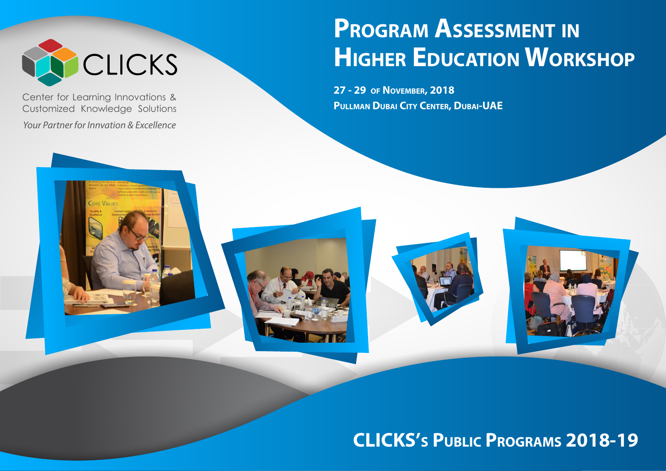

Center for Learning Innovations & Customized Knowledge Solutions

*Your Partner for Innvation & Excellence*

# **PROGRAM ASSESSMENT IN HIGHER EDUCATION WORKSHOP**

**27 - 29 OF NOVEMBER, 2018 PULLMAN DUBAI CITY CENTER, DUBAI-UAE**



# **CLICKS'S PUBLIC PROGRAMS 2018-19**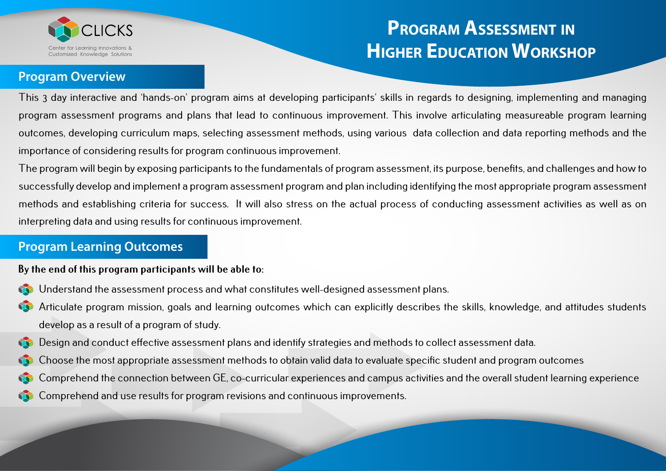

#### **Program Overview**

This 3 day interactive and 'hands-on' program aims at developing participants' skills in regards to designing, implementing and managing program assessment programs and plans that lead to continuous improvement. This involve articulating measureable program learning outcomes, developing curriculum maps, selecting assessment methods, using various data collection and data reporting methods and the importance of considering results for program continuous improvement.

The program will begin by exposing participants to the fundamentals of program assessment, its purpose, benefits, and challenges and how to successfully develop and implement a program assessment program and plan including identifying the most appropriate program assessment methods and establishing criteria for success. It will also stress on the actual process of conducting assessment activities as well as on interpreting data and using results for continuous improvement.

#### **Program Learning Outcomes**

#### **By the end of this program participants will be able to:**

- Understand the assessment process and what constitutes well-designed assessment plans.
- Articulate program mission, goals and learning outcomes which can explicitly describes the skills, knowledge, and attitudes students develop as a result of a program of study.
- Design and conduct effective assessment plans and identify strategies and methods to collect assessment data.
- Choose the most appropriate assessment methods to obtain valid data to evaluate specific student and program outcomes
- Comprehend the connection between GE, co-curricular experiences and campus activities and the overall student learning experience
- Comprehend and use results for program revisions and continuous improvements.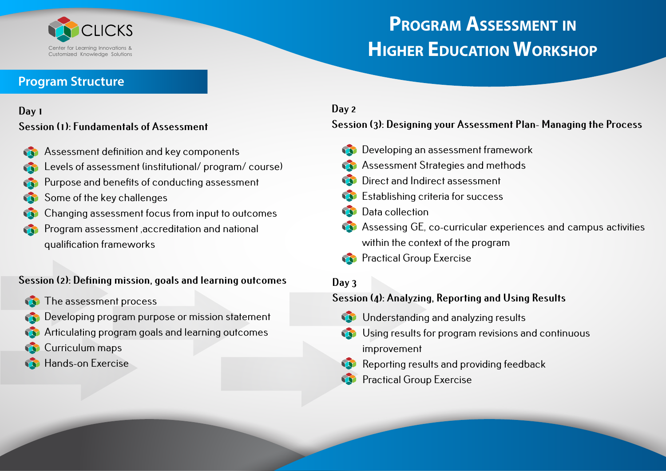

### **Program Structure**

#### **Day 1**

#### **Session (1): Fundamentals of Assessment**

- Assessment definition and key components
- Levels of assessment (institutional/ program/ course)
- Purpose and benefits of conducting assessment
- Some of the key challenges
- Changing assessment focus from input to outcomes
- Program assessment ,accreditation and national qualification frameworks

#### **Session (2): Defining mission, goals and learning outcomes**

- The assessment process
- Developing program purpose or mission statement
- Articulating program goals and learning outcomes
- Curriculum maps
- Hands-on Exercise

### **Day 2**

#### **Session (3): Designing your Assessment Plan- Managing the Process**

- **Conducts** Developing an assessment framework
- **Assessment Strategies and methods**
- Direct and Indirect assessment
- Establishing criteria for success
- Data collection
- Assessing GE, co-curricular experiences and campus activities within the context of the program
- **Practical Group Exercise**

### **Day 3**

#### **Session (4): Analyzing, Reporting and Using Results**

- **W** Understanding and analyzing results
- Using results for program revisions and continuous improvement
- Reporting results and providing feedback Ŵ
- Practical Group Exercise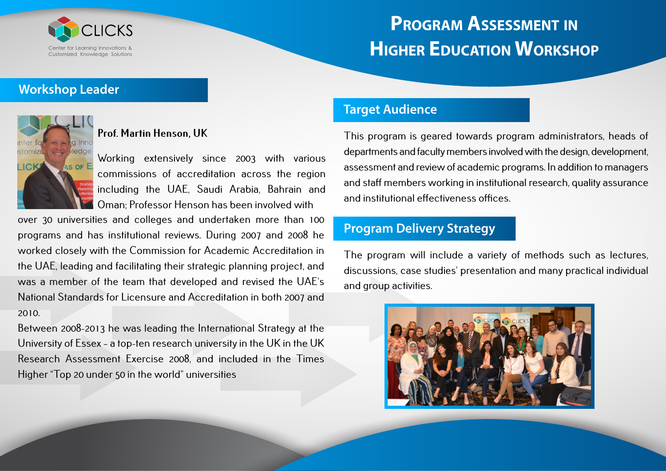

#### **Workshop Leader**



#### **Prof. Martin Henson, UK**

Working extensively since 2003 with various commissions of accreditation across the region including the UAE, Saudi Arabia, Bahrain and Oman; Professor Henson has been involved with

over 30 universities and colleges and undertaken more than 100 programs and has institutional reviews. During 2007 and 2008 he worked closely with the Commission for Academic Accreditation in the UAE, leading and facilitating their strategic planning project, and was a member of the team that developed and revised the UAE's National Standards for Licensure and Accreditation in both 2007 and 2010.

Between 2008-2013 he was leading the International Strategy at the University of Essex – a top-ten research university in the UK in the UK Research Assessment Exercise 2008, and included in the Times Higher "Top 20 under 50 in the world" universities

#### **Target Audience**

This program is geared towards program administrators, heads of departments and faculty members involved with the design, development, assessment and review of academic programs. In addition to managers and staff members working in institutional research, quality assurance and institutional effectiveness offices.

### **Program Delivery Strategy**

The program will include a variety of methods such as lectures, discussions, case studies' presentation and many practical individual and group activities.